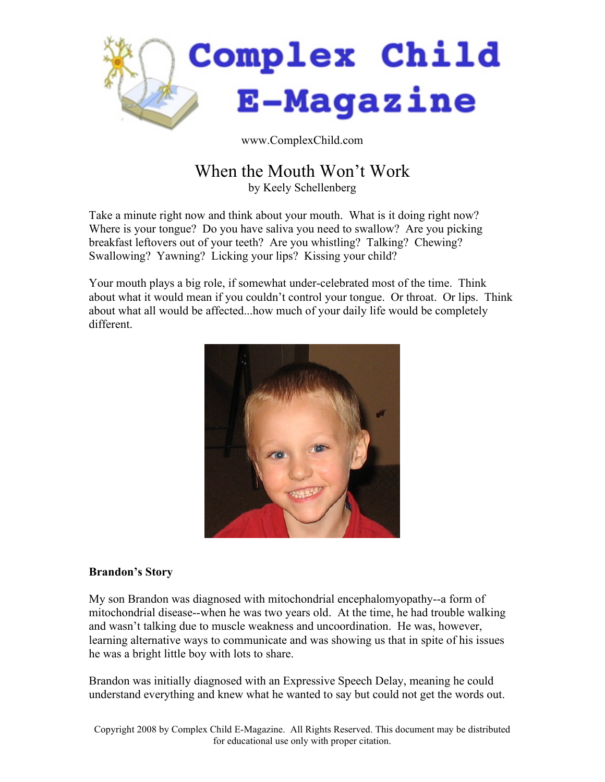

www.ComplexChild.com

# When the Mouth Won't Work

by Keely Schellenberg

Take a minute right now and think about your mouth. What is it doing right now? Where is your tongue? Do you have saliva you need to swallow? Are you picking breakfast leftovers out of your teeth? Are you whistling? Talking? Chewing? Swallowing? Yawning? Licking your lips? Kissing your child?

Your mouth plays a big role, if somewhat under-celebrated most of the time. Think about what it would mean if you couldn't control your tongue. Or throat. Or lips. Think about what all would be affected...how much of your daily life would be completely different.



# **Brandon's Story**

My son Brandon was diagnosed with mitochondrial encephalomyopathy--a form of mitochondrial disease--when he was two years old. At the time, he had trouble walking and wasn't talking due to muscle weakness and uncoordination. He was, however, learning alternative ways to communicate and was showing us that in spite of his issues he was a bright little boy with lots to share.

Brandon was initially diagnosed with an Expressive Speech Delay, meaning he could understand everything and knew what he wanted to say but could not get the words out.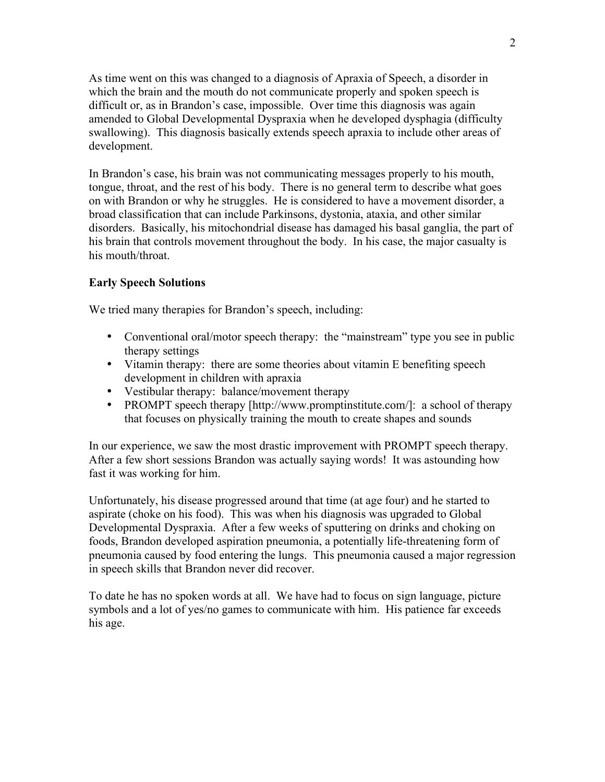As time went on this was changed to a diagnosis of Apraxia of Speech, a disorder in which the brain and the mouth do not communicate properly and spoken speech is difficult or, as in Brandon's case, impossible. Over time this diagnosis was again amended to Global Developmental Dyspraxia when he developed dysphagia (difficulty swallowing). This diagnosis basically extends speech apraxia to include other areas of development.

In Brandon's case, his brain was not communicating messages properly to his mouth, tongue, throat, and the rest of his body. There is no general term to describe what goes on with Brandon or why he struggles. He is considered to have a movement disorder, a broad classification that can include Parkinsons, dystonia, ataxia, and other similar disorders. Basically, his mitochondrial disease has damaged his basal ganglia, the part of his brain that controls movement throughout the body. In his case, the major casualty is his mouth/throat.

#### **Early Speech Solutions**

We tried many therapies for Brandon's speech, including:

- Conventional oral/motor speech therapy: the "mainstream" type you see in public therapy settings
- Vitamin therapy: there are some theories about vitamin E benefiting speech development in children with apraxia
- Vestibular therapy: balance/movement therapy
- PROMPT speech therapy [http://www.promptinstitute.com/]: a school of therapy that focuses on physically training the mouth to create shapes and sounds

In our experience, we saw the most drastic improvement with PROMPT speech therapy. After a few short sessions Brandon was actually saying words! It was astounding how fast it was working for him.

Unfortunately, his disease progressed around that time (at age four) and he started to aspirate (choke on his food). This was when his diagnosis was upgraded to Global Developmental Dyspraxia. After a few weeks of sputtering on drinks and choking on foods, Brandon developed aspiration pneumonia, a potentially life-threatening form of pneumonia caused by food entering the lungs. This pneumonia caused a major regression in speech skills that Brandon never did recover.

To date he has no spoken words at all. We have had to focus on sign language, picture symbols and a lot of yes/no games to communicate with him. His patience far exceeds his age.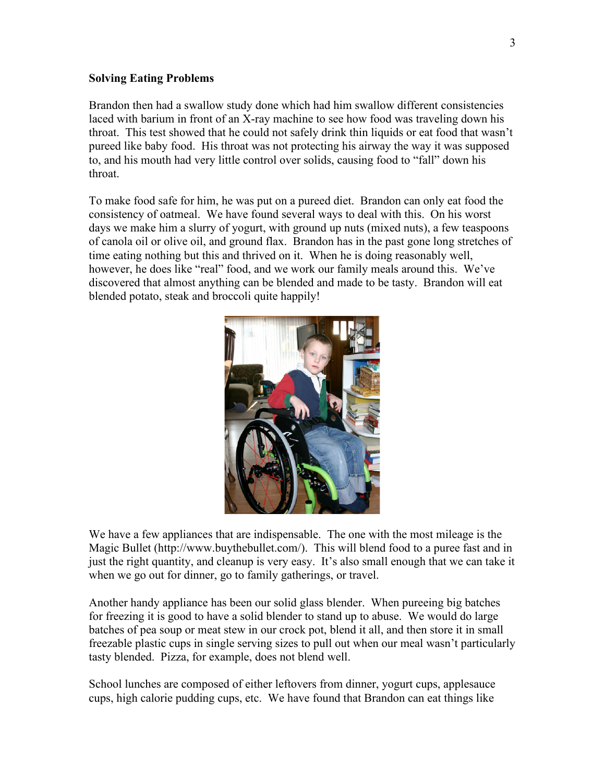### **Solving Eating Problems**

Brandon then had a swallow study done which had him swallow different consistencies laced with barium in front of an X-ray machine to see how food was traveling down his throat. This test showed that he could not safely drink thin liquids or eat food that wasn't pureed like baby food. His throat was not protecting his airway the way it was supposed to, and his mouth had very little control over solids, causing food to "fall" down his throat.

To make food safe for him, he was put on a pureed diet. Brandon can only eat food the consistency of oatmeal. We have found several ways to deal with this. On his worst days we make him a slurry of yogurt, with ground up nuts (mixed nuts), a few teaspoons of canola oil or olive oil, and ground flax. Brandon has in the past gone long stretches of time eating nothing but this and thrived on it. When he is doing reasonably well, however, he does like "real" food, and we work our family meals around this. We've discovered that almost anything can be blended and made to be tasty. Brandon will eat blended potato, steak and broccoli quite happily!



We have a few appliances that are indispensable. The one with the most mileage is the Magic Bullet (http://www.buythebullet.com/). This will blend food to a puree fast and in just the right quantity, and cleanup is very easy. It's also small enough that we can take it when we go out for dinner, go to family gatherings, or travel.

Another handy appliance has been our solid glass blender. When pureeing big batches for freezing it is good to have a solid blender to stand up to abuse. We would do large batches of pea soup or meat stew in our crock pot, blend it all, and then store it in small freezable plastic cups in single serving sizes to pull out when our meal wasn't particularly tasty blended. Pizza, for example, does not blend well.

School lunches are composed of either leftovers from dinner, yogurt cups, applesauce cups, high calorie pudding cups, etc. We have found that Brandon can eat things like